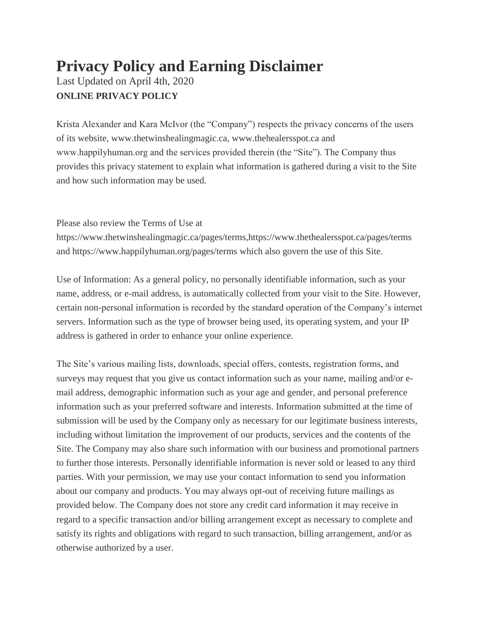## **Privacy Policy and Earning Disclaimer** Last Updated on April 4th, 2020 **ONLINE PRIVACY POLICY**

Krista Alexander and Kara McIvor (the "Company") respects the privacy concerns of the users of its website, www.thetwinshealingmagic.ca, www.thehealersspot.ca and www.happilyhuman.org and the services provided therein (the "Site"). The Company thus provides this privacy statement to explain what information is gathered during a visit to the Site and how such information may be used.

Please also review the Terms of Use at

https://www.thetwinshealingmagic.ca/pages/terms,https://www.thethealersspot.ca/pages/terms and https://www.happilyhuman.org/pages/terms which also govern the use of this Site.

Use of Information: As a general policy, no personally identifiable information, such as your name, address, or e-mail address, is automatically collected from your visit to the Site. However, certain non-personal information is recorded by the standard operation of the Company's internet servers. Information such as the type of browser being used, its operating system, and your IP address is gathered in order to enhance your online experience.

The Site's various mailing lists, downloads, special offers, contests, registration forms, and surveys may request that you give us contact information such as your name, mailing and/or email address, demographic information such as your age and gender, and personal preference information such as your preferred software and interests. Information submitted at the time of submission will be used by the Company only as necessary for our legitimate business interests, including without limitation the improvement of our products, services and the contents of the Site. The Company may also share such information with our business and promotional partners to further those interests. Personally identifiable information is never sold or leased to any third parties. With your permission, we may use your contact information to send you information about our company and products. You may always opt-out of receiving future mailings as provided below. The Company does not store any credit card information it may receive in regard to a specific transaction and/or billing arrangement except as necessary to complete and satisfy its rights and obligations with regard to such transaction, billing arrangement, and/or as otherwise authorized by a user.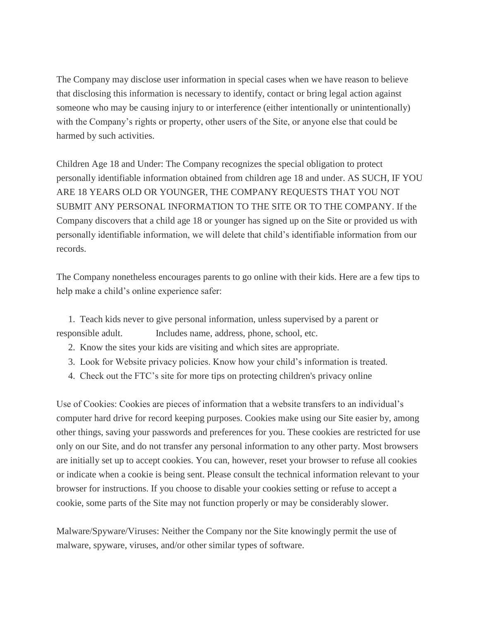The Company may disclose user information in special cases when we have reason to believe that disclosing this information is necessary to identify, contact or bring legal action against someone who may be causing injury to or interference (either intentionally or unintentionally) with the Company's rights or property, other users of the Site, or anyone else that could be harmed by such activities.

Children Age 18 and Under: The Company recognizes the special obligation to protect personally identifiable information obtained from children age 18 and under. AS SUCH, IF YOU ARE 18 YEARS OLD OR YOUNGER, THE COMPANY REQUESTS THAT YOU NOT SUBMIT ANY PERSONAL INFORMATION TO THE SITE OR TO THE COMPANY. If the Company discovers that a child age 18 or younger has signed up on the Site or provided us with personally identifiable information, we will delete that child's identifiable information from our records.

The Company nonetheless encourages parents to go online with their kids. Here are a few tips to help make a child's online experience safer:

1. Teach kids never to give personal information, unless supervised by a parent or responsible adult. Includes name, address, phone, school, etc.

- 2. Know the sites your kids are visiting and which sites are appropriate.
- 3. Look for Website privacy policies. Know how your child's information is treated.
- 4. Check out the FTC's site for more tips on protecting children's privacy online

Use of Cookies: Cookies are pieces of information that a website transfers to an individual's computer hard drive for record keeping purposes. Cookies make using our Site easier by, among other things, saving your passwords and preferences for you. These cookies are restricted for use only on our Site, and do not transfer any personal information to any other party. Most browsers are initially set up to accept cookies. You can, however, reset your browser to refuse all cookies or indicate when a cookie is being sent. Please consult the technical information relevant to your browser for instructions. If you choose to disable your cookies setting or refuse to accept a cookie, some parts of the Site may not function properly or may be considerably slower.

Malware/Spyware/Viruses: Neither the Company nor the Site knowingly permit the use of malware, spyware, viruses, and/or other similar types of software.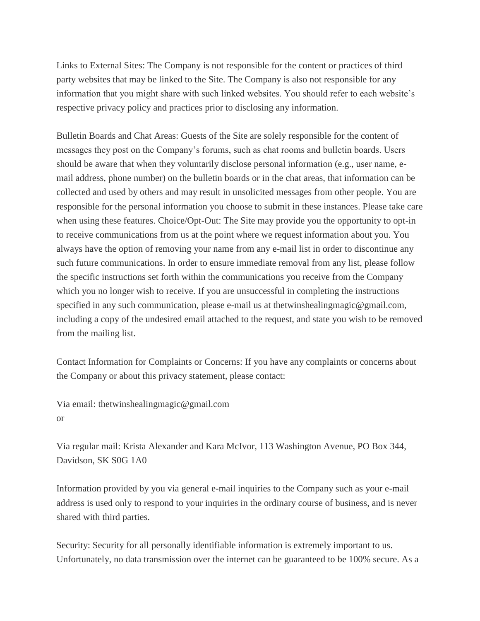Links to External Sites: The Company is not responsible for the content or practices of third party websites that may be linked to the Site. The Company is also not responsible for any information that you might share with such linked websites. You should refer to each website's respective privacy policy and practices prior to disclosing any information.

Bulletin Boards and Chat Areas: Guests of the Site are solely responsible for the content of messages they post on the Company's forums, such as chat rooms and bulletin boards. Users should be aware that when they voluntarily disclose personal information (e.g., user name, email address, phone number) on the bulletin boards or in the chat areas, that information can be collected and used by others and may result in unsolicited messages from other people. You are responsible for the personal information you choose to submit in these instances. Please take care when using these features. Choice/Opt-Out: The Site may provide you the opportunity to opt-in to receive communications from us at the point where we request information about you. You always have the option of removing your name from any e-mail list in order to discontinue any such future communications. In order to ensure immediate removal from any list, please follow the specific instructions set forth within the communications you receive from the Company which you no longer wish to receive. If you are unsuccessful in completing the instructions specified in any such communication, please e-mail us at thetwinshealingmagic@gmail.com, including a copy of the undesired email attached to the request, and state you wish to be removed from the mailing list.

Contact Information for Complaints or Concerns: If you have any complaints or concerns about the Company or about this privacy statement, please contact:

Via email: thetwinshealingmagic@gmail.com or

Via regular mail: Krista Alexander and Kara McIvor, 113 Washington Avenue, PO Box 344, Davidson, SK S0G 1A0

Information provided by you via general e-mail inquiries to the Company such as your e-mail address is used only to respond to your inquiries in the ordinary course of business, and is never shared with third parties.

Security: Security for all personally identifiable information is extremely important to us. Unfortunately, no data transmission over the internet can be guaranteed to be 100% secure. As a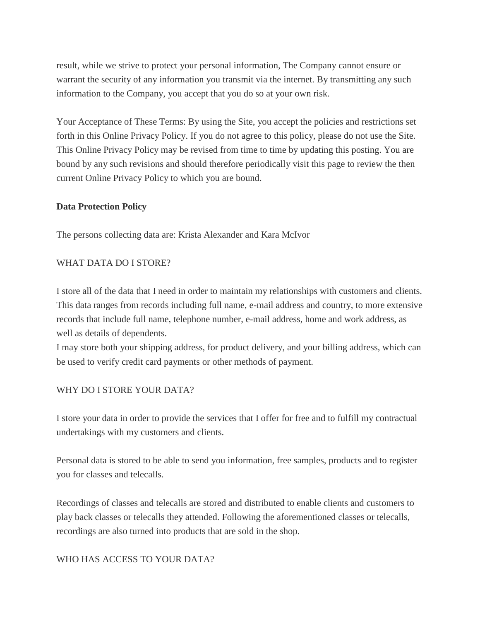result, while we strive to protect your personal information, The Company cannot ensure or warrant the security of any information you transmit via the internet. By transmitting any such information to the Company, you accept that you do so at your own risk.

Your Acceptance of These Terms: By using the Site, you accept the policies and restrictions set forth in this Online Privacy Policy. If you do not agree to this policy, please do not use the Site. This Online Privacy Policy may be revised from time to time by updating this posting. You are bound by any such revisions and should therefore periodically visit this page to review the then current Online Privacy Policy to which you are bound.

#### **Data Protection Policy**

The persons collecting data are: Krista Alexander and Kara McIvor

#### WHAT DATA DO I STORE?

I store all of the data that I need in order to maintain my relationships with customers and clients. This data ranges from records including full name, e-mail address and country, to more extensive records that include full name, telephone number, e-mail address, home and work address, as well as details of dependents.

I may store both your shipping address, for product delivery, and your billing address, which can be used to verify credit card payments or other methods of payment.

#### WHY DO I STORE YOUR DATA?

I store your data in order to provide the services that I offer for free and to fulfill my contractual undertakings with my customers and clients.

Personal data is stored to be able to send you information, free samples, products and to register you for classes and telecalls.

Recordings of classes and telecalls are stored and distributed to enable clients and customers to play back classes or telecalls they attended. Following the aforementioned classes or telecalls, recordings are also turned into products that are sold in the shop.

#### WHO HAS ACCESS TO YOUR DATA?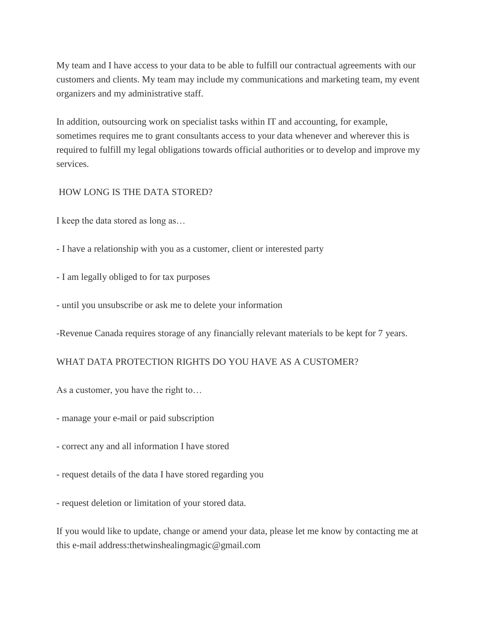My team and I have access to your data to be able to fulfill our contractual agreements with our customers and clients. My team may include my communications and marketing team, my event organizers and my administrative staff.

In addition, outsourcing work on specialist tasks within IT and accounting, for example, sometimes requires me to grant consultants access to your data whenever and wherever this is required to fulfill my legal obligations towards official authorities or to develop and improve my services.

#### HOW LONG IS THE DATA STORED?

I keep the data stored as long as…

- I have a relationship with you as a customer, client or interested party
- I am legally obliged to for tax purposes
- until you unsubscribe or ask me to delete your information

-Revenue Canada requires storage of any financially relevant materials to be kept for 7 years.

#### WHAT DATA PROTECTION RIGHTS DO YOU HAVE AS A CUSTOMER?

As a customer, you have the right to…

- manage your e-mail or paid subscription

- correct any and all information I have stored
- request details of the data I have stored regarding you

- request deletion or limitation of your stored data.

If you would like to update, change or amend your data, please let me know by contacting me at this e-mail address:thetwinshealingmagic@gmail.com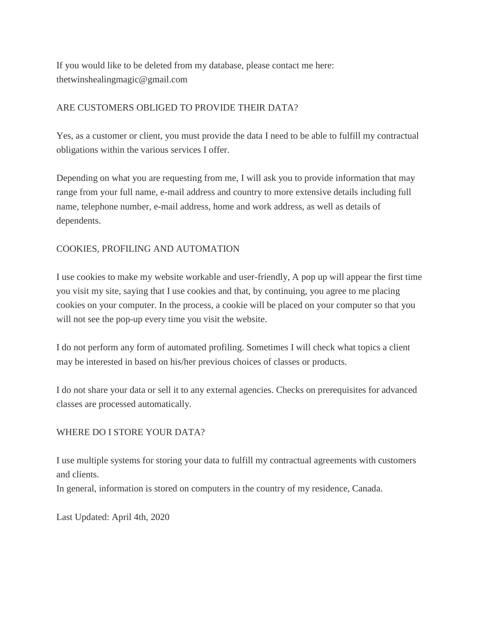If you would like to be deleted from my database, please contact me here: thetwinshealingmagic@gmail.com

### ARE CUSTOMERS OBLIGED TO PROVIDE THEIR DATA?

Yes, as a customer or client, you must provide the data I need to be able to fulfill my contractual obligations within the various services I offer.

Depending on what you are requesting from me, I will ask you to provide information that may range from your full name, e-mail address and country to more extensive details including full name, telephone number, e-mail address, home and work address, as well as details of dependents.

### COOKIES, PROFILING AND AUTOMATION

I use cookies to make my website workable and user-friendly, A pop up will appear the first time you visit my site, saying that I use cookies and that, by continuing, you agree to me placing cookies on your computer. In the process, a cookie will be placed on your computer so that you will not see the pop-up every time you visit the website.

I do not perform any form of automated profiling. Sometimes I will check what topics a client may be interested in based on his/her previous choices of classes or products.

I do not share your data or sell it to any external agencies. Checks on prerequisites for advanced classes are processed automatically.

#### WHERE DO I STORE YOUR DATA?

I use multiple systems for storing your data to fulfill my contractual agreements with customers and clients.

In general, information is stored on computers in the country of my residence, Canada.

Last Updated: April 4th, 2020